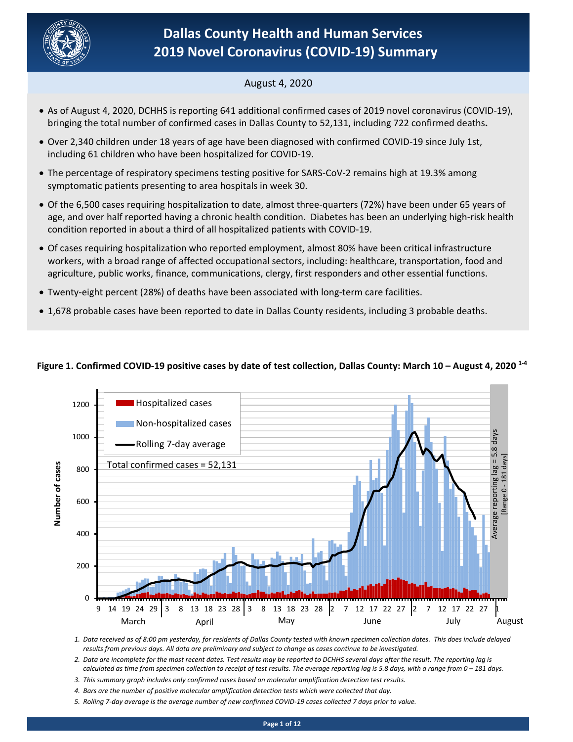

# **Dallas County Health and Human Services 2019 Novel Coronavirus (COVID-19) Summary**

# August 4, 2020

- As of August 4, 2020, DCHHS is reporting 641 additional confirmed cases of 2019 novel coronavirus (COVID-19), bringing the total number of confirmed cases in Dallas County to 52,131, including 722 confirmed deaths**.**
- Over 2,340 children under 18 years of age have been diagnosed with confirmed COVID-19 since July 1st, including 61 children who have been hospitalized for COVID-19.
- The percentage of respiratory specimens testing positive for SARS-CoV-2 remains high at 19.3% among symptomatic patients presenting to area hospitals in week 30.
- Of the 6,500 cases requiring hospitalization to date, almost three-quarters (72%) have been under 65 years of age, and over half reported having a chronic health condition. Diabetes has been an underlying high-risk health condition reported in about a third of all hospitalized patients with COVID-19.
- Of cases requiring hospitalization who reported employment, almost 80% have been critical infrastructure workers, with a broad range of affected occupational sectors, including: healthcare, transportation, food and agriculture, public works, finance, communications, clergy, first responders and other essential functions.
- Twenty-eight percent (28%) of deaths have been associated with long-term care facilities.
- 1,678 probable cases have been reported to date in Dallas County residents, including 3 probable deaths.



## **Figure 1. Confirmed COVID-19 positive cases by date of test collection, Dallas County: March 10 – August 4, 2020 1-4**

*1. Data received as of 8:00 pm yesterday, for residents of Dallas County tested with known specimen collection dates. This does include delayed results from previous days. All data are preliminary and subject to change as cases continue to be investigated.*

- *2. Data are incomplete for the most recent dates. Test results may be reported to DCHHS several days after the result. The reporting lag is calculated as time from specimen collection to receipt of test results. The average reporting lag is 5.8 days, with a range from 0 – 181 days.*
- *3. This summary graph includes only confirmed cases based on molecular amplification detection test results.*
- *4. Bars are the number of positive molecular amplification detection tests which were collected that day.*
- *5. Rolling 7-day average is the average number of new confirmed COVID-19 cases collected 7 days prior to value.*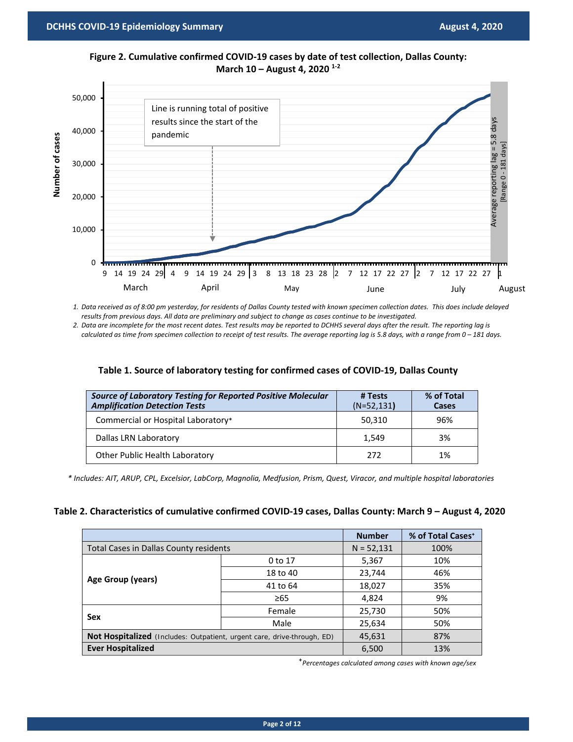

**Figure 2. Cumulative confirmed COVID-19 cases by date of test collection, Dallas County: March 10 – August 4, 2020 1-2**

*1. Data received as of 8:00 pm yesterday, for residents of Dallas County tested with known specimen collection dates. This does include delayed results from previous days. All data are preliminary and subject to change as cases continue to be investigated.*

*2. Data are incomplete for the most recent dates. Test results may be reported to DCHHS several days after the result. The reporting lag is calculated as time from specimen collection to receipt of test results. The average reporting lag is 5.8 days, with a range from 0 – 181 days.*

| <b>Source of Laboratory Testing for Reported Positive Molecular</b><br><b>Amplification Detection Tests</b> | # Tests<br>$(N=52, 131)$ | % of Total<br>Cases |
|-------------------------------------------------------------------------------------------------------------|--------------------------|---------------------|
| Commercial or Hospital Laboratory*                                                                          | 50,310                   | 96%                 |
| Dallas LRN Laboratory                                                                                       | 1,549                    | 3%                  |
| Other Public Health Laboratory                                                                              | 272                      | 1%                  |

## **Table 1. Source of laboratory testing for confirmed cases of COVID-19, Dallas County**

*\* Includes: AIT, ARUP, CPL, Excelsior, LabCorp, Magnolia, Medfusion, Prism, Quest, Viracor, and multiple hospital laboratories*

#### **Table 2. Characteristics of cumulative confirmed COVID-19 cases, Dallas County: March 9 – August 4, 2020**

|                                                                         |              | <b>Number</b> | % of Total Cases <sup>+</sup> |
|-------------------------------------------------------------------------|--------------|---------------|-------------------------------|
| Total Cases in Dallas County residents                                  | $N = 52,131$ | 100%          |                               |
|                                                                         | 0 to 17      | 5,367         | 10%                           |
| Age Group (years)                                                       | 18 to 40     | 23,744        | 46%                           |
|                                                                         | 41 to 64     | 18,027        | 35%                           |
|                                                                         | $\geq 65$    | 4,824         | 9%                            |
| Sex                                                                     | Female       | 25,730        | 50%                           |
|                                                                         | Male         | 25,634        | 50%                           |
| Not Hospitalized (Includes: Outpatient, urgent care, drive-through, ED) | 45,631       | 87%           |                               |
| <b>Ever Hospitalized</b>                                                | 6,500        | 13%           |                               |

⁺*Percentages calculated among cases with known age/sex*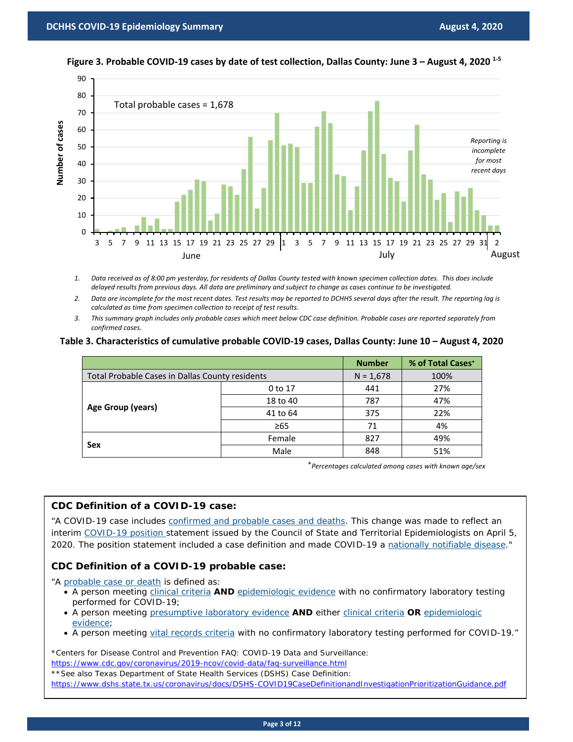

## **Figure 3. Probable COVID-19 cases by date of test collection, Dallas County: June 3 – August 4, 2020 1-5**

- *1. Data received as of 8:00 pm yesterday, for residents of Dallas County tested with known specimen collection dates. This does include delayed results from previous days. All data are preliminary and subject to change as cases continue to be investigated.*
- *2. Data are incomplete for the most recent dates. Test results may be reported to DCHHS several days after the result. The reporting lag is calculated as time from specimen collection to receipt of test results.*
- *3. This summary graph includes only probable cases which meet below CDC case definition. Probable cases are reported separately from confirmed cases.*

#### **Table 3. Characteristics of cumulative probable COVID-19 cases, Dallas County: June 10 – August 4, 2020**

|                                                 |             | <b>Number</b> | % of Total Cases <sup>+</sup> |
|-------------------------------------------------|-------------|---------------|-------------------------------|
| Total Probable Cases in Dallas County residents | $N = 1,678$ | 100%          |                               |
| Age Group (years)                               | 0 to 17     | 441           | 27%                           |
|                                                 | 18 to 40    | 787           | 47%                           |
|                                                 | 41 to 64    | 375           | 22%                           |
|                                                 | ≥65         | 71            | 4%                            |
| Sex                                             | Female      | 827           | 49%                           |
|                                                 | Male        | 848           | 51%                           |

⁺*Percentages calculated among cases with known age/sex*

## **CDC Definition of a COVID-19 case:**

"A COVID-19 case includes [confirmed and probable cases and deaths.](https://www.cdc.gov/coronavirus/2019-ncov/cases-updates/cases-in-us.html) This change was made to reflect an interim [COVID-19 position](https://cdn.ymaws.com/www.cste.org/resource/resmgr/2020ps/Interim-20-ID-01_COVID-19.pdf) statement issued by the Council of State and Territorial Epidemiologists on April 5, 2020. The position statement included a case definition and made COVID-19 a [nationally notifiable disease.](https://wwwn.cdc.gov/nndss/conditions/notifiable/2020/)"

## **CDC Definition of a COVID-19 probable case:**

"A [probable case or death](https://wwwn.cdc.gov/nndss/conditions/coronavirus-disease-2019-covid-19/case-definition/2020/) is defined as:

- A person meeting *[clinical criteria](https://wwwn.cdc.gov/nndss/conditions/coronavirus-disease-2019-covid-19/case-definition/2020/) AND [epidemiologic evidence](https://wwwn.cdc.gov/nndss/conditions/coronavirus-disease-2019-covid-19/case-definition/2020/)* with no confirmatory laboratory testing performed for COVID-19;
- A person meeting [presumptive laboratory evidence](https://wwwn.cdc.gov/nndss/conditions/coronavirus-disease-2019-covid-19/case-definition/2020/) **AND** either [clinical criteria](https://wwwn.cdc.gov/nndss/conditions/coronavirus-disease-2019-covid-19/case-definition/2020/) **OR** [epidemiologic](https://wwwn.cdc.gov/nndss/conditions/coronavirus-disease-2019-covid-19/case-definition/2020/)  [evidence;](https://wwwn.cdc.gov/nndss/conditions/coronavirus-disease-2019-covid-19/case-definition/2020/)
- A person meeting [vital records criteria](https://wwwn.cdc.gov/nndss/conditions/coronavirus-disease-2019-covid-19/case-definition/2020/) with no confirmatory laboratory testing performed for COVID-19."

\*Centers for Disease Control and Prevention FAQ: COVID-19 Data and Surveillance:

<https://www.cdc.gov/coronavirus/2019-ncov/covid-data/faq-surveillance.html>

\*\*See also Texas Department of State Health Services (DSHS) Case Definition:

<https://www.dshs.state.tx.us/coronavirus/docs/DSHS-COVID19CaseDefinitionandInvestigationPrioritizationGuidance.pdf>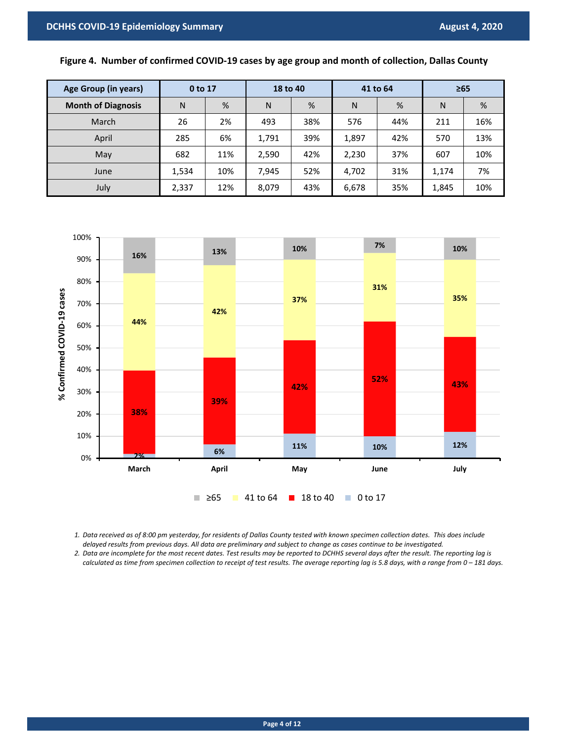## **Figure 4. Number of confirmed COVID-19 cases by age group and month of collection, Dallas County**

| Age Group (in years)      | 0 to 17 |     | 18 to 40 |     | 41 to 64 |     | $\geq 65$ |     |
|---------------------------|---------|-----|----------|-----|----------|-----|-----------|-----|
| <b>Month of Diagnosis</b> | N       | %   | N        | %   | N        | %   | N         | %   |
| March                     | 26      | 2%  | 493      | 38% | 576      | 44% | 211       | 16% |
| April                     | 285     | 6%  | 1,791    | 39% | 1,897    | 42% | 570       | 13% |
| May                       | 682     | 11% | 2,590    | 42% | 2,230    | 37% | 607       | 10% |
| June                      | 1,534   | 10% | 7,945    | 52% | 4,702    | 31% | 1,174     | 7%  |
| July                      | 2,337   | 12% | 8,079    | 43% | 6,678    | 35% | 1,845     | 10% |



*1. Data received as of 8:00 pm yesterday, for residents of Dallas County tested with known specimen collection dates. This does include delayed results from previous days. All data are preliminary and subject to change as cases continue to be investigated.*

*2. Data are incomplete for the most recent dates. Test results may be reported to DCHHS several days after the result. The reporting lag is calculated as time from specimen collection to receipt of test results. The average reporting lag is 5.8 days, with a range from 0 – 181 days.*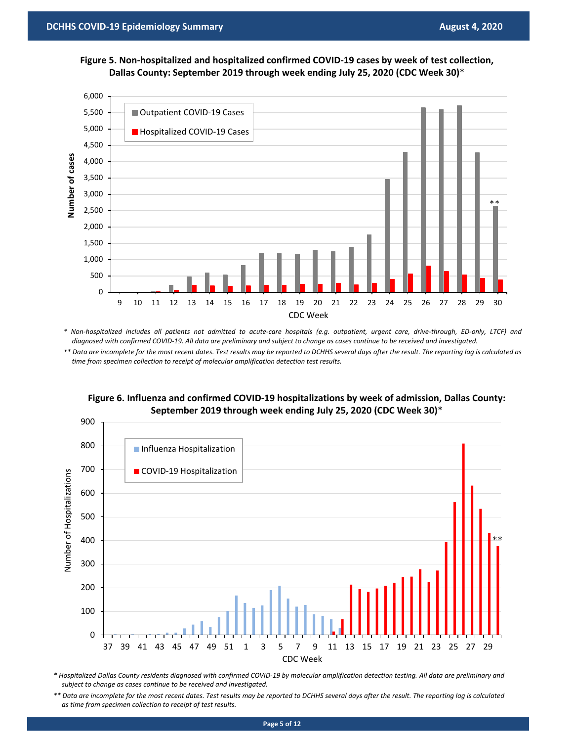



*\* Non-hospitalized includes all patients not admitted to acute-care hospitals (e.g. outpatient, urgent care, drive-through, ED-only, LTCF) and diagnosed with confirmed COVID-19. All data are preliminary and subject to change as cases continue to be received and investigated.*

*\*\* Data are incomplete for the most recent dates. Test results may be reported to DCHHS several days after the result. The reporting lag is calculated as*  time from specimen collection to receipt of molecular amplification detection test results.



**Figure 6. Influenza and confirmed COVID-19 hospitalizations by week of admission, Dallas County: September 2019 through week ending July 25, 2020 (CDC Week 30)**\*

\* Hospitalized Dallas County residents diagnosed with confirmed COVID-19 by molecular amplification detection testing. All data are preliminary and *subject to change as cases continue to be received and investigated.*

*\*\* Data are incomplete for the most recent dates. Test results may be reported to DCHHS several days after the result. The reporting lag is calculated as time from specimen collection to receipt of test results.*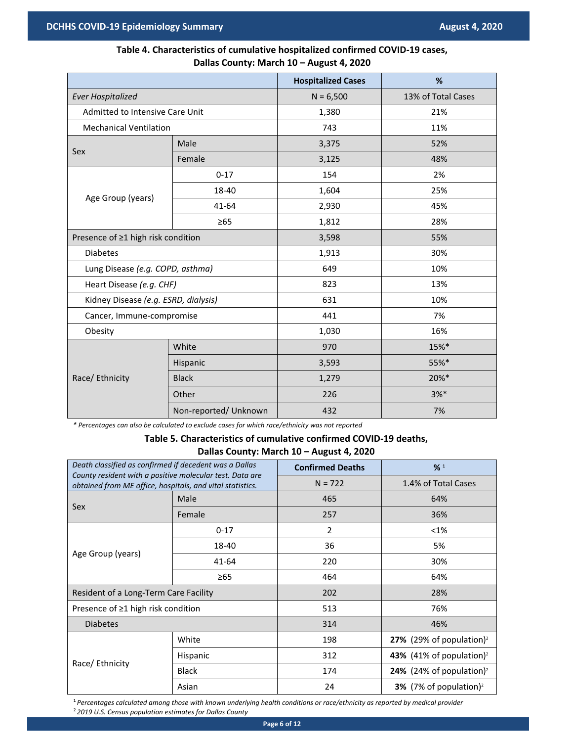## **Table 4. Characteristics of cumulative hospitalized confirmed COVID-19 cases, Dallas County: March 10 – August 4, 2020**

|                                      |                       | <b>Hospitalized Cases</b> | %                  |  |
|--------------------------------------|-----------------------|---------------------------|--------------------|--|
| <b>Ever Hospitalized</b>             |                       | $N = 6,500$               | 13% of Total Cases |  |
| Admitted to Intensive Care Unit      |                       | 1,380                     | 21%                |  |
| <b>Mechanical Ventilation</b>        |                       | 743                       | 11%                |  |
| Sex                                  | Male                  | 3,375                     | 52%                |  |
|                                      | Female                | 3,125                     | 48%                |  |
|                                      | $0 - 17$              | 154                       | 2%                 |  |
| Age Group (years)                    | 18-40                 | 1,604                     | 25%                |  |
|                                      | 41-64                 | 2,930                     | 45%                |  |
|                                      | $\geq 65$             | 1,812                     | 28%                |  |
| Presence of ≥1 high risk condition   |                       | 3,598                     | 55%                |  |
| <b>Diabetes</b>                      |                       | 1,913                     | 30%                |  |
| Lung Disease (e.g. COPD, asthma)     |                       | 649                       | 10%                |  |
| Heart Disease (e.g. CHF)             |                       | 823                       | 13%                |  |
| Kidney Disease (e.g. ESRD, dialysis) |                       | 631                       | 10%                |  |
| Cancer, Immune-compromise            |                       | 441                       | 7%                 |  |
| Obesity                              |                       | 1,030                     | 16%                |  |
|                                      | White                 | 970                       | 15%*               |  |
|                                      | Hispanic              | 3,593                     | 55%*               |  |
| Race/ Ethnicity                      | <b>Black</b>          | 1,279                     | 20%*               |  |
|                                      | Other                 | 226                       | $3%$ *             |  |
|                                      | Non-reported/ Unknown | 432                       | 7%                 |  |

*\* Percentages can also be calculated to exclude cases for which race/ethnicity was not reported*

# **Table 5. Characteristics of cumulative confirmed COVID-19 deaths, Dallas County: March 10 – August 4, 2020**

| Death classified as confirmed if decedent was a Dallas                                                                |              | <b>Confirmed Deaths</b> | %1                                          |
|-----------------------------------------------------------------------------------------------------------------------|--------------|-------------------------|---------------------------------------------|
| County resident with a positive molecular test. Data are<br>obtained from ME office, hospitals, and vital statistics. |              | $N = 722$               | 1.4% of Total Cases                         |
|                                                                                                                       | Male         | 465                     | 64%                                         |
| Sex                                                                                                                   | Female       | 257                     | 36%                                         |
|                                                                                                                       | $0 - 17$     | $\overline{2}$          | $< 1\%$                                     |
| Age Group (years)                                                                                                     | 18-40        | 36                      | 5%                                          |
|                                                                                                                       | 41-64        | 220                     | 30%                                         |
|                                                                                                                       | $\geq 65$    | 464                     | 64%                                         |
| Resident of a Long-Term Care Facility                                                                                 |              | 202                     | 28%                                         |
| Presence of ≥1 high risk condition                                                                                    |              | 513                     | 76%                                         |
| <b>Diabetes</b>                                                                                                       |              | 314                     | 46%                                         |
|                                                                                                                       | White        | 198                     | 27% (29% of population) <sup>2</sup>        |
| Race/ Ethnicity                                                                                                       | Hispanic     | 312                     | 43% (41% of population) <sup>2</sup>        |
|                                                                                                                       | <b>Black</b> | 174                     | <b>24%</b> (24% of population) <sup>2</sup> |
|                                                                                                                       | Asian        | 24                      | <b>3%</b> (7% of population) <sup>2</sup>   |

**<sup>1</sup>** *Percentages calculated among those with known underlying health conditions or race/ethnicity as reported by medical provider* <sup>2</sup> *2019 U.S. Census population estimates for Dallas County*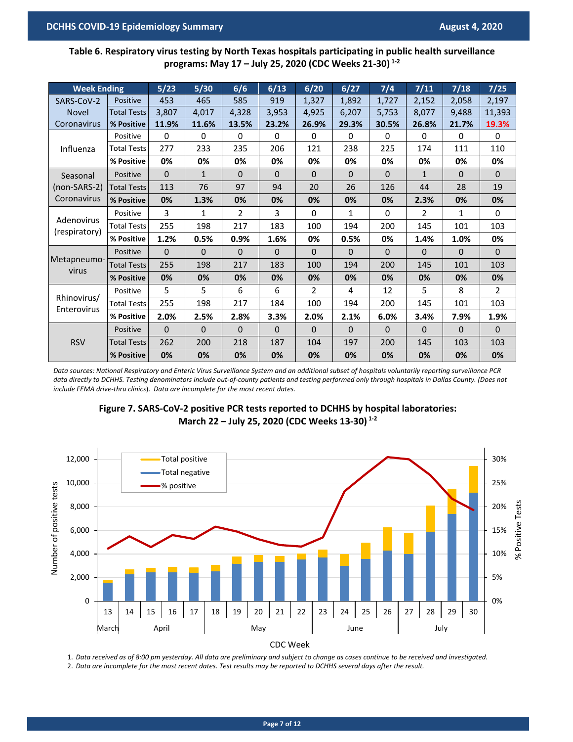**Table 6. Respiratory virus testing by North Texas hospitals participating in public health surveillance programs: May 17 – July 25, 2020 (CDC Weeks 21-30) 1-2**

| <b>Week Ending</b>          |                    | 5/23     | $5/30$       | 6/6            | 6/13         | 6/20     | 6/27     | $7/4$    | 7/11         | 7/18     | $7/25$         |
|-----------------------------|--------------------|----------|--------------|----------------|--------------|----------|----------|----------|--------------|----------|----------------|
|                             | Positive           | 453      |              | 585            | 919          |          |          |          |              |          |                |
| SARS-CoV-2                  |                    |          | 465          |                |              | 1,327    | 1,892    | 1,727    | 2,152        | 2,058    | 2,197          |
| <b>Novel</b>                | <b>Total Tests</b> | 3,807    | 4,017        | 4,328          | 3,953        | 4,925    | 6,207    | 5,753    | 8,077        | 9,488    | 11,393         |
| Coronavirus                 | % Positive         | 11.9%    | 11.6%        | 13.5%          | 23.2%        | 26.9%    | 29.3%    | 30.5%    | 26.8%        | 21.7%    | 19.3%          |
|                             | Positive           | 0        | $\Omega$     | 0              | $\Omega$     | 0        | $\Omega$ | 0        | 0            | 0        | $\Omega$       |
| Influenza                   | <b>Total Tests</b> | 277      | 233          | 235            | 206          | 121      | 238      | 225      | 174          | 111      | 110            |
|                             | % Positive         | 0%       | 0%           | 0%             | 0%           | 0%       | 0%       | 0%       | 0%           | 0%       | 0%             |
| Seasonal                    | Positive           | $\Omega$ | $\mathbf{1}$ | $\Omega$       | $\mathbf{0}$ | 0        | $\Omega$ | $\Omega$ | $\mathbf{1}$ | $\Omega$ | $\Omega$       |
| $(non-SARS-2)$              | <b>Total Tests</b> | 113      | 76           | 97             | 94           | 20       | 26       | 126      | 44           | 28       | 19             |
| Coronavirus                 | % Positive         | 0%       | 1.3%         | 0%             | 0%           | 0%       | 0%       | 0%       | 2.3%         | 0%       | 0%             |
|                             | Positive           | 3        | $\mathbf{1}$ | $\overline{2}$ | 3            | 0        | 1        | 0        | 2            | 1        | 0              |
| Adenovirus<br>(respiratory) | <b>Total Tests</b> | 255      | 198          | 217            | 183          | 100      | 194      | 200      | 145          | 101      | 103            |
|                             | % Positive         | 1.2%     | 0.5%         | 0.9%           | 1.6%         | 0%       | 0.5%     | 0%       | 1.4%         | 1.0%     | 0%             |
|                             | Positive           | $\Omega$ | $\Omega$     | $\Omega$       | $\Omega$     | $\Omega$ | $\Omega$ | $\Omega$ | $\Omega$     | $\Omega$ | $\Omega$       |
| Metapneumo-<br>virus        | <b>Total Tests</b> | 255      | 198          | 217            | 183          | 100      | 194      | 200      | 145          | 101      | 103            |
|                             | % Positive         | 0%       | 0%           | 0%             | 0%           | 0%       | 0%       | 0%       | 0%           | 0%       | 0%             |
|                             | Positive           | 5        | 5            | 6              | 6            | 2        | 4        | 12       | 5            | 8        | $\overline{2}$ |
| Rhinovirus/<br>Enterovirus  | <b>Total Tests</b> | 255      | 198          | 217            | 184          | 100      | 194      | 200      | 145          | 101      | 103            |
|                             | % Positive         | 2.0%     | 2.5%         | 2.8%           | 3.3%         | 2.0%     | 2.1%     | 6.0%     | 3.4%         | 7.9%     | 1.9%           |
|                             | Positive           | $\Omega$ | $\Omega$     | $\Omega$       | $\Omega$     | 0        | $\Omega$ | 0        | $\Omega$     | $\Omega$ | $\Omega$       |
| <b>RSV</b>                  | <b>Total Tests</b> | 262      | 200          | 218            | 187          | 104      | 197      | 200      | 145          | 103      | 103            |
|                             | % Positive         | 0%       | 0%           | 0%             | 0%           | 0%       | 0%       | 0%       | 0%           | 0%       | 0%             |

*Data sources: National Respiratory and Enteric Virus Surveillance System and an additional subset of hospitals voluntarily reporting surveillance PCR*  data directly to DCHHS. Testing denominators include out-of-county patients and testing performed only through hospitals in Dallas County. (Does not *include FEMA drive-thru clinics*). *Data are incomplete for the most recent dates.* 





1. *Data received as of 8:00 pm yesterday. All data are preliminary and subject to change as cases continue to be received and investigated.* 2. *Data are incomplete for the most recent dates. Test results may be reported to DCHHS several days after the result.*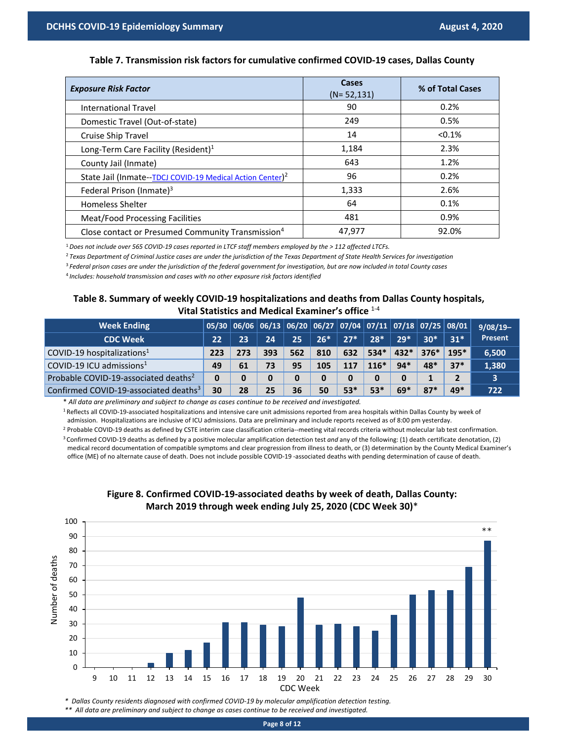## **Table 7. Transmission risk factors for cumulative confirmed COVID-19 cases, Dallas County**

| <b>Exposure Risk Factor</b>                                           | <b>Cases</b><br>$(N=52, 131)$ | % of Total Cases |
|-----------------------------------------------------------------------|-------------------------------|------------------|
| International Travel                                                  | 90                            | 0.2%             |
| Domestic Travel (Out-of-state)                                        | 249                           | 0.5%             |
| Cruise Ship Travel                                                    | 14                            | $< 0.1\%$        |
| Long-Term Care Facility (Resident) <sup>1</sup>                       | 1,184                         | 2.3%             |
| County Jail (Inmate)                                                  | 643                           | 1.2%             |
| State Jail (Inmate--TDCJ COVID-19 Medical Action Center) <sup>2</sup> | 96                            | 0.2%             |
| Federal Prison (Inmate) <sup>3</sup>                                  | 1,333                         | 2.6%             |
| <b>Homeless Shelter</b>                                               | 64                            | 0.1%             |
| <b>Meat/Food Processing Facilities</b>                                | 481                           | 0.9%             |
| Close contact or Presumed Community Transmission <sup>4</sup>         | 47,977                        | 92.0%            |

<sup>1</sup>*Does not include over 565 COVID-19 cases reported in LTCF staff members employed by the > 112 affected LTCFs.*

<sup>2</sup>*Texas Department of Criminal Justice cases are under the jurisdiction of the Texas Department of State Health Services for investigation*

<sup>3</sup>*Federal prison cases are under the jurisdiction of the federal government for investigation, but are now included in total County cases*

<sup>4</sup>*Includes: household transmission and cases with no other exposure risk factors identified*

## **Table 8. Summary of weekly COVID-19 hospitalizations and deaths from Dallas County hospitals, Vital Statistics and Medical Examiner's office** 1-4

| <b>Week Ending</b>                                |     | $\mid$ 05/30 $\mid$ 06/06 $\mid$ 06/13 $\mid$ 06/20 $\mid$ 06/27 $\mid$ 07/04 $\mid$ 07/11 $\mid$ 07/18 $\mid$ 07/25 $\mid$ 08/01 |     |     |       |       |        |        |        |        | $9/08/19-$ |
|---------------------------------------------------|-----|-----------------------------------------------------------------------------------------------------------------------------------|-----|-----|-------|-------|--------|--------|--------|--------|------------|
| <b>CDC Week</b>                                   | 22  | 23                                                                                                                                | 24  | 25  | $26*$ | $27*$ | $28*$  | $29*$  | $30*$  | $31*$  | Present    |
| COVID-19 hospitalizations <sup>1</sup>            | 223 | 273                                                                                                                               | 393 | 562 | 810   | 632   | $534*$ | $432*$ | $376*$ | $195*$ | 6,500      |
| $\sim$ COVID-19 ICU admissions <sup>1</sup>       | 49  | 61                                                                                                                                | 73  | 95  | 105   | 117   | $116*$ | $94*$  | $48*$  | $37*$  | 1,380      |
| Probable COVID-19-associated deaths <sup>2</sup>  |     |                                                                                                                                   | 0   | 0   | 0     | 0     | 0      | 0      |        |        |            |
| Confirmed COVID-19-associated deaths <sup>3</sup> | 30  | 28                                                                                                                                | 25  | 36  | 50    | 53*   | $53*$  | $69*$  | $87*$  | 49*    | 722        |

\* *All data are preliminary and subject to change as cases continue to be received and investigated.*

<sup>1</sup> Reflects all COVID-19-associated hospitalizations and intensive care unit admissions reported from area hospitals within Dallas County by week of

admission. Hospitalizations are inclusive of ICU admissions. Data are preliminary and include reports received as of 8:00 pm yesterday.

<sup>2</sup> Probable COVID-19 deaths as defined by CSTE interim case classification criteria--meeting vital records criteria without molecular lab test confirmation. <sup>3</sup> Confirmed COVID-19 deaths as defined by a positive molecular amplification detection test *and* any of the following: (1) death certificate denotation, (2) medical record documentation of compatible symptoms and clear progression from illness to death, or (3) determination by the County Medical Examiner's office (ME) of no alternate cause of death. Does not include possible COVID-19 -associated deaths with pending determination of cause of death.



## **Figure 8. Confirmed COVID-19-associated deaths by week of death, Dallas County: March 2019 through week ending July 25, 2020 (CDC Week 30)**\*

*\* Dallas County residents diagnosed with confirmed COVID-19 by molecular amplification detection testing. \*\* All data are preliminary and subject to change as cases continue to be received and investigated.*

**Page 8 of 12**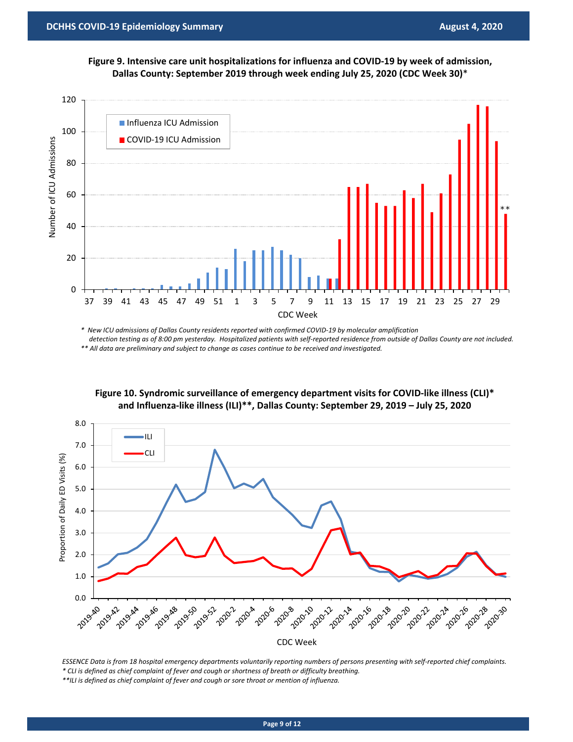**Figure 9. Intensive care unit hospitalizations for influenza and COVID-19 by week of admission, Dallas County: September 2019 through week ending July 25, 2020 (CDC Week 30)**\*



*\* New ICU admissions of Dallas County residents reported with confirmed COVID-19 by molecular amplification detection testing as of 8:00 pm yesterday. Hospitalized patients with self-reported residence from outside of Dallas County are not included. \*\* All data are preliminary and subject to change as cases continue to be received and investigated.*

**Figure 10. Syndromic surveillance of emergency department visits for COVID-like illness (CLI)\* and Influenza-like illness (ILI)\*\*, Dallas County: September 29, 2019 – July 25, 2020**



*ESSENCE Data is from 18 hospital emergency departments voluntarily reporting numbers of persons presenting with self-reported chief complaints. \* CLI is defined as chief complaint of fever and cough or shortness of breath or difficulty breathing.* 

*\*\*ILI is defined as chief complaint of fever and cough or sore throat or mention of influenza.*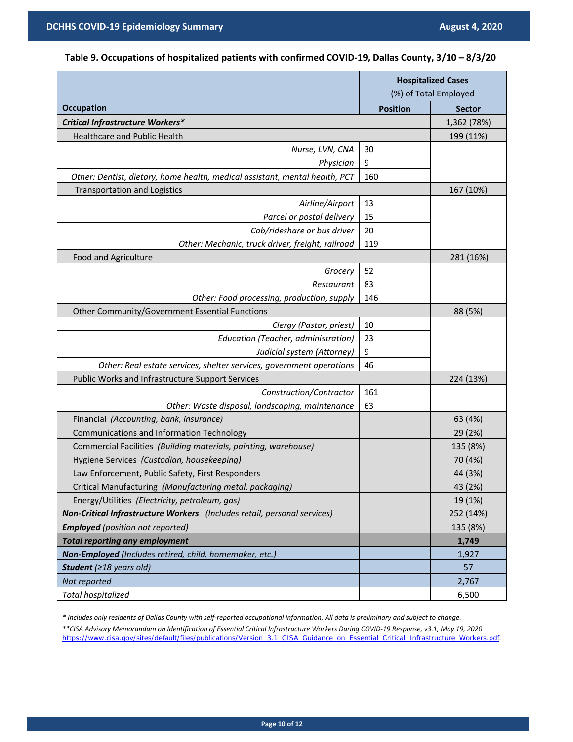# **Table 9. Occupations of hospitalized patients with confirmed COVID-19, Dallas County, 3/10 – 8/3/20**

|                                                                             | <b>Hospitalized Cases</b><br>(%) of Total Employed |               |  |
|-----------------------------------------------------------------------------|----------------------------------------------------|---------------|--|
| <b>Occupation</b>                                                           | <b>Position</b>                                    | <b>Sector</b> |  |
| <b>Critical Infrastructure Workers*</b>                                     |                                                    | 1,362 (78%)   |  |
| <b>Healthcare and Public Health</b>                                         |                                                    | 199 (11%)     |  |
| Nurse, LVN, CNA                                                             | 30                                                 |               |  |
| Physician                                                                   | 9                                                  |               |  |
| Other: Dentist, dietary, home health, medical assistant, mental health, PCT | 160                                                |               |  |
| <b>Transportation and Logistics</b>                                         |                                                    | 167 (10%)     |  |
| Airline/Airport                                                             | 13                                                 |               |  |
| Parcel or postal delivery                                                   | 15                                                 |               |  |
| Cab/rideshare or bus driver                                                 | 20                                                 |               |  |
| Other: Mechanic, truck driver, freight, railroad                            | 119                                                |               |  |
| Food and Agriculture                                                        |                                                    | 281 (16%)     |  |
| Grocery                                                                     | 52                                                 |               |  |
| Restaurant                                                                  | 83                                                 |               |  |
| Other: Food processing, production, supply                                  | 146                                                |               |  |
| Other Community/Government Essential Functions                              |                                                    | 88 (5%)       |  |
| Clergy (Pastor, priest)                                                     | 10                                                 |               |  |
| Education (Teacher, administration)                                         | 23                                                 |               |  |
| Judicial system (Attorney)                                                  | 9                                                  |               |  |
| Other: Real estate services, shelter services, government operations        | 46                                                 |               |  |
| Public Works and Infrastructure Support Services                            |                                                    | 224 (13%)     |  |
| Construction/Contractor                                                     | 161                                                |               |  |
| Other: Waste disposal, landscaping, maintenance                             | 63                                                 |               |  |
| Financial (Accounting, bank, insurance)                                     |                                                    | 63 (4%)       |  |
| Communications and Information Technology                                   |                                                    | 29 (2%)       |  |
| Commercial Facilities (Building materials, painting, warehouse)             |                                                    | 135 (8%)      |  |
| Hygiene Services (Custodian, housekeeping)                                  |                                                    | 70 (4%)       |  |
| Law Enforcement, Public Safety, First Responders                            |                                                    | 44 (3%)       |  |
| Critical Manufacturing (Manufacturing metal, packaging)                     |                                                    | 43 (2%)       |  |
| Energy/Utilities (Electricity, petroleum, gas)                              |                                                    | 19 (1%)       |  |
| Non-Critical Infrastructure Workers (Includes retail, personal services)    |                                                    | 252 (14%)     |  |
| <b>Employed</b> (position not reported)                                     |                                                    | 135 (8%)      |  |
| <b>Total reporting any employment</b>                                       |                                                    | 1,749         |  |
| Non-Employed (Includes retired, child, homemaker, etc.)                     |                                                    | 1,927         |  |
| Student (≥18 years old)                                                     |                                                    | 57            |  |
| Not reported                                                                |                                                    | 2,767         |  |
| <b>Total hospitalized</b>                                                   |                                                    | 6,500         |  |

*\* Includes only residents of Dallas County with self-reported occupational information. All data is preliminary and subject to change.*

*\*\*CISA Advisory Memorandum on Identification of Essential Critical Infrastructure Workers During COVID-19 Response, v3.1, May 19, 2020*  [https://www.cisa.gov/sites/default/files/publications/Version\\_3.1\\_CISA\\_Guidance\\_on\\_Essential\\_Critical\\_Infrastructure\\_Workers.pdf](https://www.cisa.gov/sites/default/files/publications/Version_3.1_CISA_Guidance_on_Essential_Critical_Infrastructure_Workers.pdf)*.*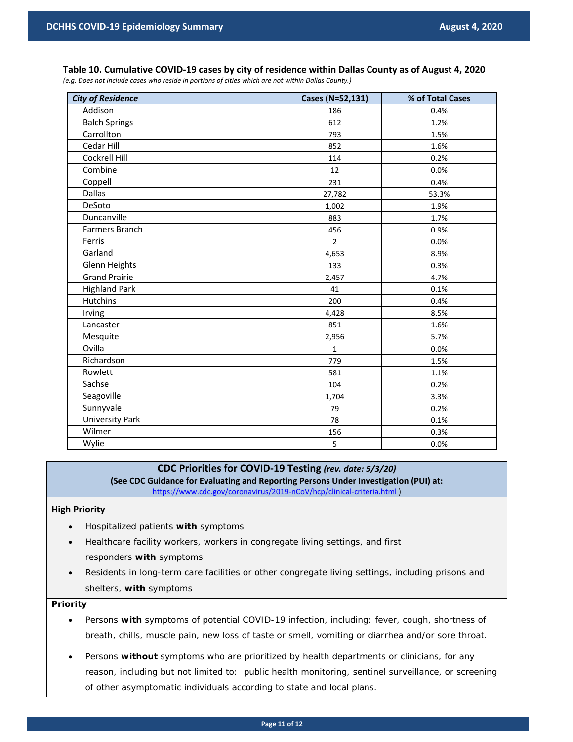*(e.g. Does not include cases who reside in portions of cities which are not within Dallas County.)*

| <b>City of Residence</b> | Cases (N=52,131) | % of Total Cases |
|--------------------------|------------------|------------------|
| Addison                  | 186              | 0.4%             |
| <b>Balch Springs</b>     | 612              | 1.2%             |
| Carrollton               | 793              | 1.5%             |
| Cedar Hill               | 852              | 1.6%             |
| Cockrell Hill            | 114              | 0.2%             |
| Combine                  | 12               | 0.0%             |
| Coppell                  | 231              | 0.4%             |
| <b>Dallas</b>            | 27,782           | 53.3%            |
| DeSoto                   | 1,002            | 1.9%             |
| Duncanville              | 883              | 1.7%             |
| Farmers Branch           | 456              | 0.9%             |
| Ferris                   | $\overline{2}$   | 0.0%             |
| Garland                  | 4,653            | 8.9%             |
| <b>Glenn Heights</b>     | 133              | 0.3%             |
| <b>Grand Prairie</b>     | 2,457            | 4.7%             |
| <b>Highland Park</b>     | 41               | 0.1%             |
| <b>Hutchins</b>          | 200              | 0.4%             |
| Irving                   | 4,428            | 8.5%             |
| Lancaster                | 851              | 1.6%             |
| Mesquite                 | 2,956            | 5.7%             |
| Ovilla                   | $\mathbf{1}$     | 0.0%             |
| Richardson               | 779              | 1.5%             |
| Rowlett                  | 581              | 1.1%             |
| Sachse                   | 104              | 0.2%             |
| Seagoville               | 1,704            | 3.3%             |
| Sunnyvale                | 79               | 0.2%             |
| <b>University Park</b>   | 78               | 0.1%             |
| Wilmer                   | 156              | 0.3%             |
| Wylie                    | 5                | 0.0%             |

## **CDC Priorities for COVID-19 Testing** *(rev. date: 5/3/20)*

**(See CDC Guidance for Evaluating and Reporting Persons Under Investigation (PUI) at:**  <https://www.cdc.gov/coronavirus/2019-nCoV/hcp/clinical-criteria.html> )

## **High Priority**

- Hospitalized patients **with** symptoms
- Healthcare facility workers, workers in congregate living settings, and first responders **with** symptoms
- Residents in long-term care facilities or other congregate living settings, including prisons and shelters, **with** symptoms

## **Priority**

- Persons **with** symptoms of potential COVID-19 infection, including: fever, cough, shortness of breath, chills, muscle pain, new loss of taste or smell, vomiting or diarrhea and/or sore throat.
- Persons **without** symptoms who are prioritized by health departments or clinicians, for any reason, including but not limited to: public health monitoring, sentinel surveillance, or screening of other asymptomatic individuals according to state and local plans.